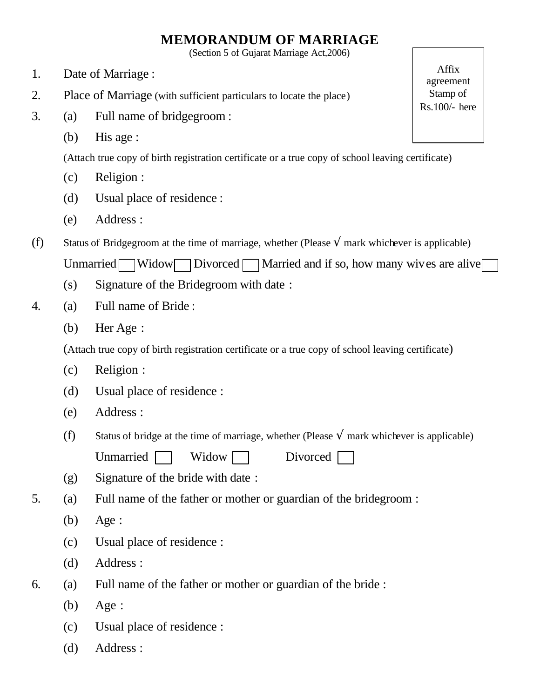## **MEMORANDUM OF MARRIAGE**

(Section 5 of Gujarat Marriage Act,2006)

- 1. Date of Marriage :
- 2. Place of Marriage (with sufficient particulars to locate the place)
- 3. (a) Full name of bridgegroom :
	- (b) His age :

(Attach true copy of birth registration certificate or a true copy of school leaving certificate)

- (c) Religion :
- (d) Usual place of residence :
- (e) Address :
- (f) Status of Bridgegroom at the time of marriage, whether (Please **Ö** mark whichever is applicable) Unmarried Widow Divorced Married and if so, how many wives are alive
	- (s) Signature of the Bridegroom with date :
- 4. (a) Full name of Bride :
	- (b) Her Age :

(Attach true copy of birth registration certificate or a true copy of school leaving certificate)

- (c) Religion :
- (d) Usual place of residence :
- (e) Address :
- (f) Status of bridge at the time of marriage, whether (Please **Ö** mark whichever is applicable) Unmarried Widow Divorced
- (g) Signature of the bride with date :
- 5. (a) Full name of the father or mother or guardian of the bridegroom :
	- (b) Age :
	- (c) Usual place of residence :
	- (d) Address :
- 6. (a) Full name of the father or mother or guardian of the bride :
	- (b) Age :
	- (c) Usual place of residence :
	- (d) Address :

Affix agreement Stamp of Rs.100/- here